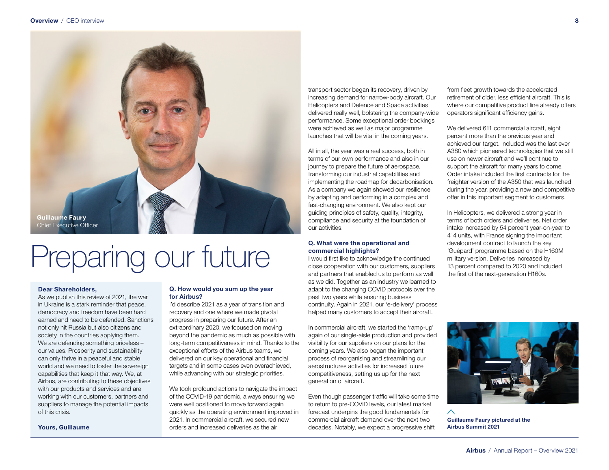

# Preparing our future

#### Dear Shareholders,

As we publish this review of 2021, the war in Ukraine is a stark reminder that peace, democracy and freedom have been hard earned and need to be defended. Sanctions not only hit Russia but also citizens and society in the countries applying them. We are defending something priceless – our values. Prosperity and sustainability can only thrive in a peaceful and stable world and we need to foster the sovereign capabilities that keep it that way. We, at Airbus, are contributing to these objectives with our products and services and are working with our customers, partners and suppliers to manage the potential impacts of this crisis.

Yours, Guillaume

#### Q. How would you sum up the year for Airbus?

I'd describe 2021 as a year of transition and recovery and one where we made pivotal progress in preparing our future. After an extraordinary 2020, we focused on moving beyond the pandemic as much as possible with long-term competitiveness in mind. Thanks to the exceptional efforts of the Airbus teams, we delivered on our key operational and financial targets and in some cases even overachieved, while advancing with our strategic priorities.

We took profound actions to navigate the impact of the COVID-19 pandemic, always ensuring we were well positioned to move forward again quickly as the operating environment improved in 2021. In commercial aircraft, we secured new orders and increased deliveries as the air

transport sector began its recovery, driven by increasing demand for narrow-body aircraft. Our Helicopters and Defence and Space activities delivered really well, bolstering the company-wide performance. Some exceptional order bookings were achieved as well as major programme launches that will be vital in the coming years.

All in all, the year was a real success, both in terms of our own performance and also in our journey to prepare the future of aerospace, transforming our industrial capabilities and implementing the roadmap for decarbonisation. As a company we again showed our resilience by adapting and performing in a complex and fast-changing environment. We also kept our guiding principles of safety, quality, integrity, compliance and security at the foundation of our activities.

#### Q. What were the operational and commercial highlights?

I would first like to acknowledge the continued close cooperation with our customers, suppliers and partners that enabled us to perform as well as we did. Together as an industry we learned to adapt to the changing COVID protocols over the past two years while ensuring business continuity. Again in 2021, our 'e-delivery' process helped many customers to accept their aircraft.

In commercial aircraft, we started the 'ramp-up' again of our single-aisle production and provided visibility for our suppliers on our plans for the coming years. We also began the important process of reorganising and streamlining our aerostructures activities for increased future competitiveness, setting us up for the next generation of aircraft.

Even though passenger traffic will take some time to return to pre-COVID levels, our latest market forecast underpins the good fundamentals for commercial aircraft demand over the next two decades. Notably, we expect a progressive shift

from fleet growth towards the accelerated retirement of older, less efficient aircraft. This is where our competitive product line already offers operators significant efficiency gains.

We delivered 611 commercial aircraft, eight percent more than the previous year and achieved our target. Included was the last ever A380 which pioneered technologies that we still use on newer aircraft and we'll continue to support the aircraft for many years to come. Order intake included the first contracts for the freighter version of the A350 that was launched during the year, providing a new and competitive offer in this important segment to customers.

In Helicopters, we delivered a strong year in terms of both orders and deliveries. Net order intake increased by 54 percent year-on-year to 414 units, with France signing the important development contract to launch the key 'Guépard' programme based on the H160M military version. Deliveries increased by 13 percent compared to 2020 and included the first of the next-generation H160s.



Guillaume Faury pictured at the Airbus Summit 2021

 $\wedge$